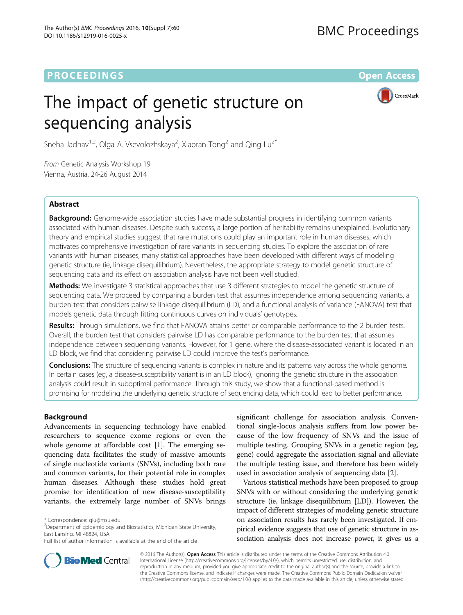## **PROCEEDINGS STATE ACCESS CONSUMING SECTION CONSUMING SECTION CONSUMING SECTION CONSUMING SECTION CONSUMING SECTION CONSUMING SECTION CONSUMING SECTION CONSUMING SECTION CONSUMING SECTION CONSUMING SECTION CONSUMING SE**

# The impact of genetic structure on sequencing analysis



Sneha Jadhav $^{1,2}$ , Olga A. Vsevolozhskaya $^2$ , Xiaoran Tong $^2$  and Qing Lu $^{2^*}$ 

From Genetic Analysis Workshop 19 Vienna, Austria. 24-26 August 2014

## Abstract

**Background:** Genome-wide association studies have made substantial progress in identifying common variants associated with human diseases. Despite such success, a large portion of heritability remains unexplained. Evolutionary theory and empirical studies suggest that rare mutations could play an important role in human diseases, which motivates comprehensive investigation of rare variants in sequencing studies. To explore the association of rare variants with human diseases, many statistical approaches have been developed with different ways of modeling genetic structure (ie, linkage disequilibrium). Nevertheless, the appropriate strategy to model genetic structure of sequencing data and its effect on association analysis have not been well studied.

Methods: We investigate 3 statistical approaches that use 3 different strategies to model the genetic structure of sequencing data. We proceed by comparing a burden test that assumes independence among sequencing variants, a burden test that considers pairwise linkage disequilibrium (LD), and a functional analysis of variance (FANOVA) test that models genetic data through fitting continuous curves on individuals' genotypes.

Results: Through simulations, we find that FANOVA attains better or comparable performance to the 2 burden tests. Overall, the burden test that considers pairwise LD has comparable performance to the burden test that assumes independence between sequencing variants. However, for 1 gene, where the disease-associated variant is located in an LD block, we find that considering pairwise LD could improve the test's performance.

**Conclusions:** The structure of sequencing variants is complex in nature and its patterns vary across the whole genome. In certain cases (eg, a disease-susceptibility variant is in an LD block), ignoring the genetic structure in the association analysis could result in suboptimal performance. Through this study, we show that a functional-based method is promising for modeling the underlying genetic structure of sequencing data, which could lead to better performance.

## Background

Advancements in sequencing technology have enabled researchers to sequence exome regions or even the whole genome at affordable cost [[1\]](#page-3-0). The emerging sequencing data facilitates the study of massive amounts of single nucleotide variants (SNVs), including both rare and common variants, for their potential role in complex human diseases. Although these studies hold great promise for identification of new disease-susceptibility variants, the extremely large number of SNVs brings

 $2$ Department of Epidemiology and Biostatistics, Michigan State University, East Lansing, MI 48824, USA

significant challenge for association analysis. Conventional single-locus analysis suffers from low power because of the low frequency of SNVs and the issue of multiple testing. Grouping SNVs in a genetic region (eg, gene) could aggregate the association signal and alleviate the multiple testing issue, and therefore has been widely used in association analysis of sequencing data [\[2\]](#page-3-0).

Various statistical methods have been proposed to group SNVs with or without considering the underlying genetic structure (ie, linkage disequilibrium [LD]). However, the impact of different strategies of modeling genetic structure on association results has rarely been investigated. If empirical evidence suggests that use of genetic structure in association analysis does not increase power, it gives us a



© 2016 The Author(s). Open Access This article is distributed under the terms of the Creative Commons Attribution 4.0 International License [\(http://creativecommons.org/licenses/by/4.0/](http://creativecommons.org/licenses/by/4.0/)), which permits unrestricted use, distribution, and reproduction in any medium, provided you give appropriate credit to the original author(s) and the source, provide a link to the Creative Commons license, and indicate if changes were made. The Creative Commons Public Domain Dedication waiver [\(http://creativecommons.org/publicdomain/zero/1.0/](http://creativecommons.org/publicdomain/zero/1.0/)) applies to the data made available in this article, unless otherwise stated.

<sup>\*</sup> Correspondence: [qlu@msu.edu](mailto:qlu@msu.edu) <sup>2</sup>

Full list of author information is available at the end of the article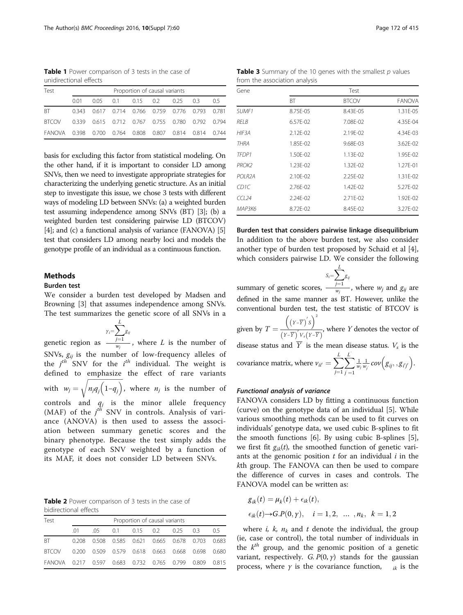<span id="page-1-0"></span>Table 1 Power comparison of 3 tests in the case of unidirectional effects

| Test                                                   |      | Proportion of causal variants |  |  |  |  |                                                        |  |
|--------------------------------------------------------|------|-------------------------------|--|--|--|--|--------------------------------------------------------|--|
|                                                        | 0.01 |                               |  |  |  |  | 0.05  0.1  0.15  0.2  0.25  0.3  0.5                   |  |
| BT.                                                    |      |                               |  |  |  |  | 0.343  0.617  0.714  0.766  0.759  0.776  0.793  0.781 |  |
| <b>BTCOV</b>                                           |      |                               |  |  |  |  | 0.339  0.615  0.712  0.767  0.755  0.780  0.792  0.794 |  |
| FANOVA 0.398 0.700 0.764 0.808 0.807 0.814 0.814 0.744 |      |                               |  |  |  |  |                                                        |  |

basis for excluding this factor from statistical modeling. On the other hand, if it is important to consider LD among SNVs, then we need to investigate appropriate strategies for characterizing the underlying genetic structure. As an initial step to investigate this issue, we chose 3 tests with different ways of modeling LD between SNVs: (a) a weighted burden test assuming independence among SNVs (BT) [\[3\]](#page-3-0); (b) a weighted burden test considering pairwise LD (BTCOV) [[4](#page-3-0)]; and (c) a functional analysis of variance (FANOVA) [[5](#page-3-0)] test that considers LD among nearby loci and models the genotype profile of an individual as a continuous function.

## Methods

## Burden test

We consider a burden test developed by Madsen and Browning [\[3](#page-3-0)] that assumes independence among SNVs. The test summarizes the genetic score of all SNVs in a

genetic region as  $\sum_{i=1}^{L}$  $j=1$ g<sub>ij</sub>  $\frac{y-1}{w_j}$ , where L is the number of SNVs,  $g_{ij}$  is the number of low-frequency alleles of the  $j^{th}$  SNV for the  $i^{th}$  individual. The weight is defined to emphasize the effect of rare variants with  $w_j =$  $\sqrt{1}$  $\sqrt{n_j q_j (1-q_j)}$ , where  $n_j$  is the number of controls and  $q_j$  is the minor allele frequency (MAF) of the  $j^{t\bar{t}i}$  SNV in controls. Analysis of variance (ANOVA) is then used to assess the association between summary genetic scores and the binary phenotype. Because the test simply adds the genotype of each SNV weighted by a function of its MAF, it does not consider LD between SNVs.

Table 2 Power comparison of 3 tests in the case of bidirectional effects

| Test                                             |    | Proportion of causal variants |  |                                                        |  |  |  |       |
|--------------------------------------------------|----|-------------------------------|--|--------------------------------------------------------|--|--|--|-------|
|                                                  | 01 | 05.                           |  | 0.1 0.15 0.2 0.25 0.3                                  |  |  |  | (15   |
| <b>BT</b>                                        |    |                               |  | 0.208 0.508 0.585 0.621 0.665 0.678 0.703 0.683        |  |  |  |       |
| <b>BICOV</b>                                     |    |                               |  | 0.200  0.509  0.579  0.618  0.663  0.668  0.698  0.680 |  |  |  |       |
| FANOVA 0.217 0.597 0.683 0.732 0.765 0.799 0.809 |    |                               |  |                                                        |  |  |  | 0.815 |

**Table 3** Summary of the 10 genes with the smallest  $p$  values from the association analysis

| Gene                 | Test      |              |               |  |  |  |
|----------------------|-----------|--------------|---------------|--|--|--|
|                      | <b>BT</b> | <b>BTCOV</b> | <b>FANOVA</b> |  |  |  |
| SUMF1                | 8.75E-05  | 8.43E-05     | 1.31E-05      |  |  |  |
| RELB                 | 6.57E-02  | 7.08E-02     | 4.35E-04      |  |  |  |
| HIF3A                | 2.12E-02  | 2.19E-02     | 4.34E-03      |  |  |  |
| <b>THRA</b>          | 1.85E-02  | 9.68E-03     | 3.62E-02      |  |  |  |
| TFDP1                | 1.50E-02  | 1.13E-02     | 1.95E-02      |  |  |  |
| PROK2                | 1.23E-02  | 1.32E-02     | 1.27E-01      |  |  |  |
| POI R <sub>2</sub> A | 2.10E-02  | 2.25E-02     | 1.31E-02      |  |  |  |
| CD1C                 | 2.76E-02  | 1.42E-02     | 5.27E-02      |  |  |  |
| CCL24                | 2.24E-02  | 2.71E-02     | 1.92E-02      |  |  |  |
| МАРЗК6               | 8.72E-02  | 8.45E-02     | 3.27E-02      |  |  |  |

Burden test that considers pairwise linkage disequilibrium In addition to the above burden test, we also consider another type of burden test proposed by Schaid et al [\[4](#page-3-0)], which considers pairwise LD. We consider the following

summary of genetic scores,  $S_i = \sum^L$  $j=1$  $g_{i_j}$  $\frac{y}{w_j}$ , where  $w_j$  and  $g_{ij}$  are defined in the same manner as BT. However, unlike the conventional burden test, the test statistic of BTCOV is given by  $T = \frac{\left(\left(Y-\overline{Y}\right)^{r} S\right)^{2}}{\left(Y-\overline{Y}\right)^{r} V \left(Y-\overline{Y}\right)^{2}}$  $(Y-\overline{Y})'V_s(Y-\overline{Y})$ , where Y denotes the vector of disease status and  $\overline{Y}$  is the mean disease status.  $V_s$  is the covariance matrix, where  $v_{ii'} = \sum^{L}$  $j=1$  $\frac{L}{\sqrt{2}}$  $j=1$  $\frac{1}{w_j} \frac{1}{w_j} cov(g_{ij}, g_{i'j'})$ .

#### Functional analysis of variance

FANOVA considers LD by fitting a continuous function (curve) on the genotype data of an individual [\[5\]](#page-3-0). While various smoothing methods can be used to fit curves on individuals' genotype data, we used cubic B-splines to fit the smooth functions [\[6](#page-3-0)]. By using cubic B-splines [\[5](#page-3-0)], we first fit  $g_{ik}(t)$ , the smoothed function of genetic variants at the genomic position  $t$  for an individual  $i$  in the kth group. The FANOVA can then be used to compare the difference of curves in cases and controls. The FANOVA model can be written as:

$$
g_{ik}(t) = \mu_k(t) + \epsilon_{ik}(t),
$$
  
\n
$$
\epsilon_{ik}(t) \rightarrow G.P(0, \gamma), \quad i = 1, 2, \dots, n_k, \quad k = 1, 2
$$

where *i*, *k*,  $n_k$  and *t* denote the individual, the group (ie, case or control), the total number of individuals in the  $k<sup>th</sup>$  group, and the genomic position of a genetic variant, respectively. G.  $P(0, y)$  stands for the gaussian process, where  $\gamma$  is the covariance function,  $\kappa_{ik}$  is the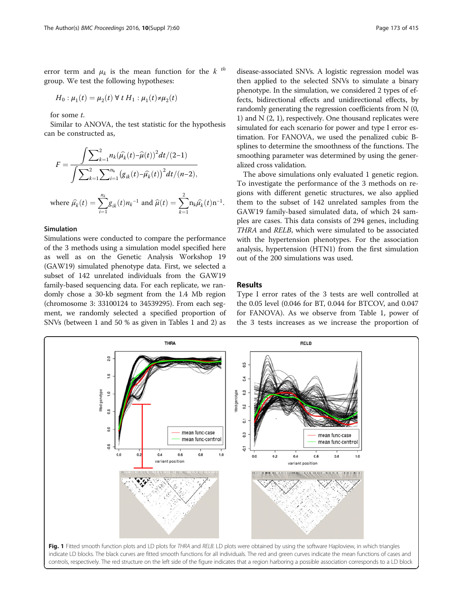<span id="page-2-0"></span>error term and  $\mu_k$  is the mean function for the k <sup>th</sup> group. We test the following hypotheses:

$$
H_0: \mu_1(t) = \mu_2(t) \,\forall \, t \, H_1: \mu_1(t) \neq \mu_2(t)
$$

for some t.

Similar to ANOVA, the test statistic for the hypothesis can be constructed as,

$$
F = \frac{\int \sum_{k=1}^{2} n_k (\widehat{\mu_k}(t) - \widehat{\mu}(t))^2 dt / (2-1)}{\int \sum_{k=1}^{2} \sum_{i=1}^{n_k} (g_{ik}(t) - \widehat{\mu_k}(t))^2 dt / (n-2)},
$$

where 
$$
\hat{\mu}_k(t) = \sum_{i=1}^{n_k} g_{ik}(t) n_k^{-1}
$$
 and  $\hat{\mu}(t) = \sum_{k=1}^{2} n_k \hat{\mu}_k(t) n^{-1}$ .

## Simulation

Simulations were conducted to compare the performance of the 3 methods using a simulation model specified here as well as on the Genetic Analysis Workshop 19 (GAW19) simulated phenotype data. First, we selected a subset of 142 unrelated individuals from the GAW19 family-based sequencing data. For each replicate, we randomly chose a 30-kb segment from the 1.4 Mb region (chromosome 3: 33100124 to 34539295). From each segment, we randomly selected a specified proportion of SNVs (between 1 and 50 % as given in Tables [1](#page-1-0) and [2](#page-1-0)) as

disease-associated SNVs. A logistic regression model was then applied to the selected SNVs to simulate a binary phenotype. In the simulation, we considered 2 types of effects, bidirectional effects and unidirectional effects, by randomly generating the regression coefficients from N (0, 1) and  $N(2, 1)$ , respectively. One thousand replicates were simulated for each scenario for power and type I error estimation. For FANOVA, we used the penalized cubic Bsplines to determine the smoothness of the functions. The smoothing parameter was determined by using the generalized cross validation.

The above simulations only evaluated 1 genetic region. To investigate the performance of the 3 methods on regions with different genetic structures, we also applied them to the subset of 142 unrelated samples from the GAW19 family-based simulated data, of which 24 samples are cases. This data consists of 294 genes, including THRA and RELB, which were simulated to be associated with the hypertension phenotypes. For the association analysis, hypertension (HTN1) from the first simulation out of the 200 simulations was used.

## Results

Type I error rates of the 3 tests are well controlled at the 0.05 level (0.046 for BT, 0.044 for BTCOV, and 0.047 for FANOVA). As we observe from Table [1,](#page-1-0) power of the 3 tests increases as we increase the proportion of